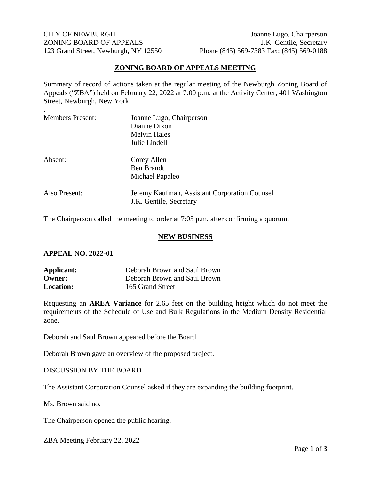CITY OF NEWBURGH Joanne Lugo, Chairperson ZONING BOARD OF APPEALS J.K. Gentile, Secretary 123 Grand Street, Newburgh, NY 12550 Phone (845) 569-7383 Fax: (845) 569-0188

### **ZONING BOARD OF APPEALS MEETING**

Summary of record of actions taken at the regular meeting of the Newburgh Zoning Board of Appeals ("ZBA") held on February 22, 2022 at 7:00 p.m. at the Activity Center, 401 Washington Street, Newburgh, New York.

| <b>Members Present:</b> | Joanne Lugo, Chairperson<br>Dianne Dixon      |
|-------------------------|-----------------------------------------------|
|                         | <b>Melvin Hales</b>                           |
|                         |                                               |
|                         | Julie Lindell                                 |
| Absent:                 | Corey Allen                                   |
|                         | Ben Brandt                                    |
|                         | Michael Papaleo                               |
| Also Present:           | Jeremy Kaufman, Assistant Corporation Counsel |
|                         | J.K. Gentile, Secretary                       |
|                         |                                               |

The Chairperson called the meeting to order at 7:05 p.m. after confirming a quorum.

#### **NEW BUSINESS**

#### **APPEAL NO. 2022-01**

| Applicant:       | Deborah Brown and Saul Brown |
|------------------|------------------------------|
| Owner:           | Deborah Brown and Saul Brown |
| <b>Location:</b> | 165 Grand Street             |

Requesting an **AREA Variance** for 2.65 feet on the building height which do not meet the requirements of the Schedule of Use and Bulk Regulations in the Medium Density Residential zone.

Deborah and Saul Brown appeared before the Board.

Deborah Brown gave an overview of the proposed project.

#### DISCUSSION BY THE BOARD

The Assistant Corporation Counsel asked if they are expanding the building footprint.

Ms. Brown said no.

The Chairperson opened the public hearing.

ZBA Meeting February 22, 2022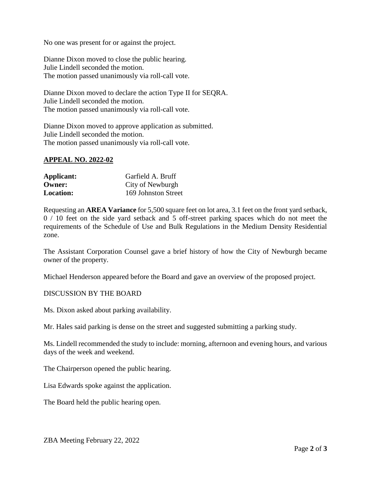No one was present for or against the project.

Dianne Dixon moved to close the public hearing. Julie Lindell seconded the motion. The motion passed unanimously via roll-call vote.

Dianne Dixon moved to declare the action Type II for SEQRA. Julie Lindell seconded the motion. The motion passed unanimously via roll-call vote.

Dianne Dixon moved to approve application as submitted. Julie Lindell seconded the motion. The motion passed unanimously via roll-call vote.

## **APPEAL NO. 2022-02**

| Applicant:       | Garfield A. Bruff   |
|------------------|---------------------|
| <b>Owner:</b>    | City of Newburgh    |
| <b>Location:</b> | 169 Johnston Street |

Requesting an **AREA Variance** for 5,500 square feet on lot area, 3.1 feet on the front yard setback, 0 / 10 feet on the side yard setback and 5 off-street parking spaces which do not meet the requirements of the Schedule of Use and Bulk Regulations in the Medium Density Residential zone.

The Assistant Corporation Counsel gave a brief history of how the City of Newburgh became owner of the property.

Michael Henderson appeared before the Board and gave an overview of the proposed project.

## DISCUSSION BY THE BOARD

Ms. Dixon asked about parking availability.

Mr. Hales said parking is dense on the street and suggested submitting a parking study.

Ms. Lindell recommended the study to include: morning, afternoon and evening hours, and various days of the week and weekend.

The Chairperson opened the public hearing.

Lisa Edwards spoke against the application.

The Board held the public hearing open.